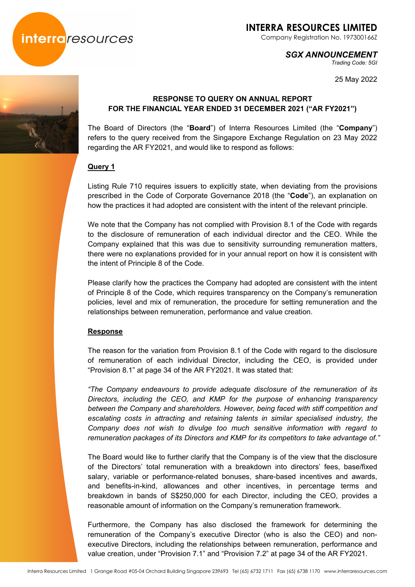

Company Registration No. 197300166Z

### *SGX ANNOUNCEMENT*

*Trading Code: 5GI* 

25 May 2022



## **RESPONSE TO QUERY ON ANNUAL REPORT FOR THE FINANCIAL YEAR ENDED 31 DECEMBER 2021 ("AR FY2021")**

The Board of Directors (the "**Board**") of Interra Resources Limited (the "**Company**") refers to the query received from the Singapore Exchange Regulation on 23 May 2022 regarding the AR FY2021, and would like to respond as follows:

### **Query 1**

Listing Rule 710 requires issuers to explicitly state, when deviating from the provisions prescribed in the Code of Corporate Governance 2018 (the "**Code**"), an explanation on how the practices it had adopted are consistent with the intent of the relevant principle.

We note that the Company has not complied with Provision 8.1 of the Code with regards to the disclosure of remuneration of each individual director and the CEO. While the Company explained that this was due to sensitivity surrounding remuneration matters, there were no explanations provided for in your annual report on how it is consistent with the intent of Principle 8 of the Code.

Please clarify how the practices the Company had adopted are consistent with the intent of Principle 8 of the Code, which requires transparency on the Company's remuneration policies, level and mix of remuneration, the procedure for setting remuneration and the relationships between remuneration, performance and value creation.

### **Response**

The reason for the variation from Provision 8.1 of the Code with regard to the disclosure of remuneration of each individual Director, including the CEO, is provided under "Provision 8.1" at page 34 of the AR FY2021. It was stated that:

*"The Company endeavours to provide adequate disclosure of the remuneration of its Directors, including the CEO, and KMP for the purpose of enhancing transparency between the Company and shareholders. However, being faced with stiff competition and escalating costs in attracting and retaining talents in similar specialised industry, the Company does not wish to divulge too much sensitive information with regard to remuneration packages of its Directors and KMP for its competitors to take advantage of."* 

The Board would like to further clarify that the Company is of the view that the disclosure of the Directors' total remuneration with a breakdown into directors' fees, base/fixed salary, variable or performance-related bonuses, share-based incentives and awards, and benefits-in-kind, allowances and other incentives, in percentage terms and breakdown in bands of S\$250,000 for each Director, including the CEO, provides a reasonable amount of information on the Company's remuneration framework.

Furthermore, the Company has also disclosed the framework for determining the remuneration of the Company's executive Director (who is also the CEO) and nonexecutive Directors, including the relationships between remuneration, performance and value creation, under "Provision 7.1" and "Provision 7.2" at page 34 of the AR FY2021.